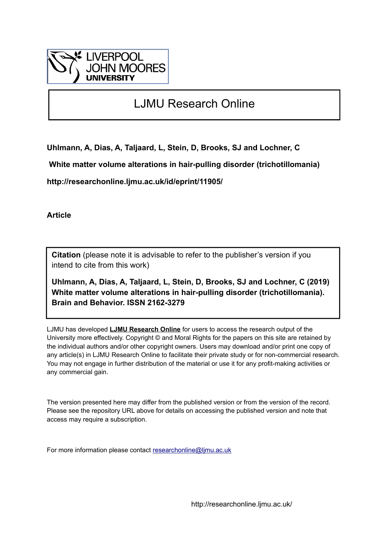

# LJMU Research Online

**Uhlmann, A, Dias, A, Taljaard, L, Stein, D, Brooks, SJ and Lochner, C**

 **White matter volume alterations in hair-pulling disorder (trichotillomania)**

**http://researchonline.ljmu.ac.uk/id/eprint/11905/**

**Article**

**Citation** (please note it is advisable to refer to the publisher's version if you intend to cite from this work)

**Uhlmann, A, Dias, A, Taljaard, L, Stein, D, Brooks, SJ and Lochner, C (2019) White matter volume alterations in hair-pulling disorder (trichotillomania). Brain and Behavior. ISSN 2162-3279** 

LJMU has developed **[LJMU Research Online](http://researchonline.ljmu.ac.uk/)** for users to access the research output of the University more effectively. Copyright © and Moral Rights for the papers on this site are retained by the individual authors and/or other copyright owners. Users may download and/or print one copy of any article(s) in LJMU Research Online to facilitate their private study or for non-commercial research. You may not engage in further distribution of the material or use it for any profit-making activities or any commercial gain.

The version presented here may differ from the published version or from the version of the record. Please see the repository URL above for details on accessing the published version and note that access may require a subscription.

For more information please contact [researchonline@ljmu.ac.uk](mailto:researchonline@ljmu.ac.uk)

http://researchonline.ljmu.ac.uk/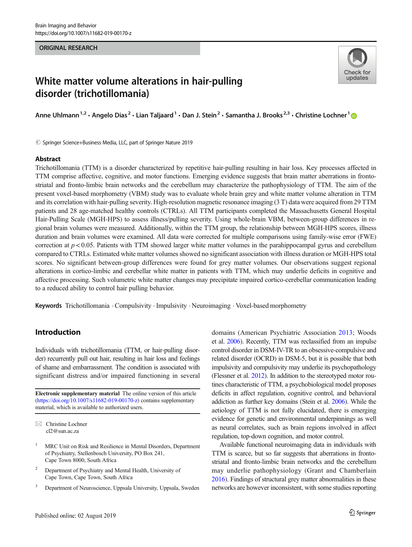#### ORIGINAL RESEARCH



# White matter volume alterations in hair-pulling disorder (trichotillomania)

Anne Uhlmann<sup>1,2</sup> • Angelo Dias<sup>2</sup> • Lian Taljaard<sup>1</sup> • Dan J. Stein<sup>2</sup> • Samantha J. Brooks<sup>2,3</sup> • Christine Lochner<sup>1</sup> ©

 $\circled{c}$  Springer Science+Business Media, LLC, part of Springer Nature 2019

#### Abstract

Trichotillomania (TTM) is a disorder characterized by repetitive hair-pulling resulting in hair loss. Key processes affected in TTM comprise affective, cognitive, and motor functions. Emerging evidence suggests that brain matter aberrations in frontostriatal and fronto-limbic brain networks and the cerebellum may characterize the pathophysiology of TTM. The aim of the present voxel-based morphometry (VBM) study was to evaluate whole brain grey and white matter volume alteration in TTM and its correlation with hair-pulling severity. High-resolution magnetic resonance imaging (3 T) data were acquired from 29 TTM patients and 28 age-matched healthy controls (CTRLs). All TTM participants completed the Massachusetts General Hospital Hair-Pulling Scale (MGH-HPS) to assess illness/pulling severity. Using whole-brain VBM, between-group differences in regional brain volumes were measured. Additionally, within the TTM group, the relationship between MGH-HPS scores, illness duration and brain volumes were examined. All data were corrected for multiple comparisons using family-wise error (FWE) correction at  $p < 0.05$ . Patients with TTM showed larger white matter volumes in the parahippocampal gyrus and cerebellum compared to CTRLs. Estimated white matter volumes showed no significant association with illness duration or MGH-HPS total scores. No significant between-group differences were found for grey matter volumes. Our observations suggest regional alterations in cortico-limbic and cerebellar white matter in patients with TTM, which may underlie deficits in cognitive and affective processing. Such volumetric white matter changes may precipitate impaired cortico-cerebellar communication leading to a reduced ability to control hair pulling behavior.

Keywords Trichotillomania . Compulsivity . Impulsivity . Neuroimaging . Voxel-based morphometry

### Introduction

Individuals with trichotillomania (TTM, or hair-pulling disorder) recurrently pull out hair, resulting in hair loss and feelings of shame and embarrassment. The condition is associated with significant distress and/or impaired functioning in several

Electronic supplementary material The online version of this article ([https://doi.org/10.1007/s11682-019-00170-z\)](https://doi.org/10.1007/s11682-019-00170-z) contains supplementary material, which is available to authorized users.

- <sup>2</sup> Department of Psychiatry and Mental Health, University of Cape Town, Cape Town, South Africa
- <sup>3</sup> Department of Neuroscience, Uppsala University, Uppsala, Sweden

domains (American Psychiatric Association [2013;](#page-7-0) Woods et al. [2006](#page-8-0)). Recently, TTM was reclassified from an impulse control disorder in DSM-IV-TR to an obsessive-compulsive and related disorder (OCRD) in DSM-5, but it is possible that both impulsivity and compulsivity may underlie its psychopathology (Flessner et al. [2012\)](#page-7-0). In addition to the stereotyped motor routines characteristic of TTM, a psychobiological model proposes deficits in affect regulation, cognitive control, and behavioral addiction as further key domains (Stein et al. [2006\)](#page-8-0). While the aetiology of TTM is not fully elucidated, there is emerging evidence for genetic and environmental underpinnings as well as neural correlates, such as brain regions involved in affect regulation, top-down cognition, and motor control.

Available functional neuroimaging data in individuals with TTM is scarce, but so far suggests that aberrations in frontostriatal and fronto-limbic brain networks and the cerebellum may underlie pathophysiology (Grant and Chamberlain [2016](#page-7-0)). Findings of structural grey matter abnormalities in these networks are however inconsistent, with some studies reporting

 $\boxtimes$  Christine Lochner [cl2@sun.ac.za](mailto:cl2@sun.ac.za)

<sup>1</sup> MRC Unit on Risk and Resilience in Mental Disorders, Department of Psychiatry, Stellenbosch University, PO Box 241, Cape Town 8000, South Africa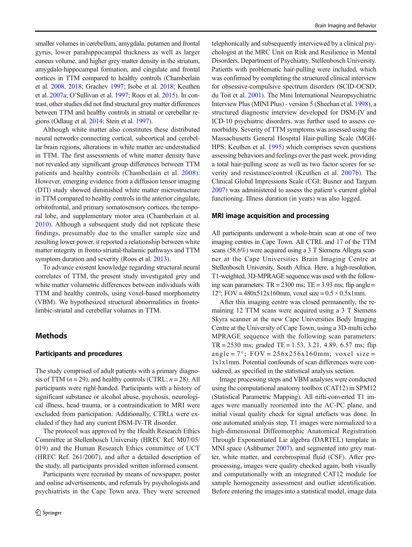smaller volumes in cerebellum, amygdala, putamen and frontal gyrus, lower parahippocampal thickness as well as larger cuneus volume, and higher grey matter density in the striatum, amygdalo-hippocampal formation, and cingulate and frontal cortices in TTM compared to healthy controls (Chamberlain et al. [2008,](#page-7-0) [2018;](#page-7-0) Grachev [1997;](#page-7-0) Isobe et al. [2018;](#page-7-0) Keuthen et al. [2007a;](#page-7-0) O'Sullivan et al. [1997](#page-8-0); Roos et al. [2015](#page-8-0)). In contrast, other studies did not find structural grey matter differences between TTM and healthy controls in striatal or cerebellar regions (Odlaug et al. [2014](#page-8-0); Stein et al. [1997](#page-8-0)).

Although white matter also constitutes these distributed neural networks connecting cortical, subcortical and cerebellar brain regions, alterations in white matter are understudied in TTM. The first assessments of white matter density have not revealed any significant group differences between TTM patients and healthy controls (Chamberlain et al. [2008](#page-7-0)). However, emerging evidence from a diffusion tensor imaging (DTI) study showed diminished white matter microstructure in TTM compared to healthy controls in the anterior cingulate, orbitofrontal, and primary somatosensory cortices, the temporal lobe, and supplementary motor area (Chamberlain et al. [2010\)](#page-7-0). Although a subsequent study did not replicate these findings, presumably due to the smaller sample size and resulting lower power, it reported a relationship between white matter integrity in fronto-striatal-thalamic pathways and TTM symptom duration and severity (Roos et al. [2013\)](#page-8-0).

To advance existent knowledge regarding structural neural correlates of TTM, the present study investigated grey and white matter volumetric differences between individuals with TTM and healthy controls, using voxel-based morphometry (VBM). We hypothesized structural abnormalities in frontolimbic-striatal and cerebellar volumes in TTM.

## **Methods**

#### Participants and procedures

The study comprised of adult patients with a primary diagnosis of TTM  $(n = 29)$ , and healthy controls (CTRL;  $n = 28$ ). All participants were right-handed. Participants with a history of significant substance or alcohol abuse, psychosis, neurological illness, head trauma, or a contraindication to MRI were excluded from participation. Additionally, CTRLs were excluded if they had any current DSM-IV-TR disorder.

The protocol was approved by the Health Research Ethics Committee at Stellenbosch University (HREC Ref. M07/05/ 019) and the Human Research Ethics committee of UCT (HREC Ref. 261/2007), and after a detailed description of the study, all participants provided written informed consent.

Participants were recruited by means of newspaper, poster and online advertisements, and referrals by psychologists and psychiatrists in the Cape Town area. They were screened

telephonically and subsequently interviewed by a clinical psychologist at the MRC Unit on Risk and Resilience in Mental Disorders, Department of Psychiatry, Stellenbosch University. Patients with problematic hair-pulling were included, which was confirmed by completing the structured clinical interview for obsessive-compulsive spectrum disorders (SCID-OCSD; du Toit et al. [2001](#page-7-0)). The Mini International Neuropsychiatric Interview Plus (MINI Plus) - version 5 (Sheehan et al. [1998](#page-8-0)), a structured diagnostic interview developed for DSM-IV and ICD-10 psychiatric disorders, was further used to assess comorbidity. Severity of TTM symptoms was assessed using the Massachusetts General Hospital Hair-pulling Scale (MGH-HPS; Keuthen et al. [1995](#page-7-0)) which comprises seven questions assessing behaviors and feelings over the past week, providing a total hair-pulling score as well as two factor scores for severity and resistance/control (Keuthen et al. [2007b\)](#page-7-0). The Clinical Global Impressions Scale (CGI; Busner and Targum [2007\)](#page-7-0) was administered to assess the patient's current global functioning. Illness duration (in years) was also logged.

#### MRI image acquisition and processing

All participants underwent a whole-brain scan at one of two imaging centres in Cape Town. All CTRL and 17 of the TTM scans (58.6%) were acquired using a 3 T Siemens Allegra scanner at the Cape Universities Brain Imaging Centre at Stellenbosch University, South Africa. Here, a high-resolution, T1-weighted, 3D-MPRAGE sequence was used with the following scan parameters:  $TR = 2300$  ms;  $TE = 3.93$  ms; flip angle = 12°; FOV =  $480x512x160mm$ , voxel size =  $0.5 \times 0.5x1mm$ .

After this imaging centre was closed permanently, the remaining 12 TTM scans were acquired using a 3 T Siemens Skyra scanner at the new Cape Universities Body Imaging Centre at the University of Cape Town, using a 3D-multi echo MPRAGE sequence with the following scan parameters:  $TR = 2530$  ms; graded  $TE = 1.53$ , 3.21, 4.89, 6.57 ms; flip angle =  $7^\circ$ ; FOV =  $256x256x160$ mm; voxel size = 1x1x1mm. Potential confounds of scan differences were considered, as specified in the statistical analysis section.

Image processing steps and VBM analyses were conducted using the computational anatomy toolbox (CAT12) in SPM12 (Statistical Parametric Mapping). All nifti-converted T1 images were manually reoriented into the AC-PC plane, and initial visual quality check for signal artefacts was done. In one automated analysis step, T1 images were normalized to a high-dimensional Diffeomorphic Anatomical Registration Through Exponentiated Lie algebra (DARTEL) template in MNI space (Ashburner [2007\)](#page-7-0), and segmented into grey matter, white matter, and cerebrospinal fluid (CSF). After preprocessing, images were quality checked again, both visually and computationally with an integrated CAT12 module for sample homogeneity assessment and outlier identification. Before entering the images into a statistical model, image data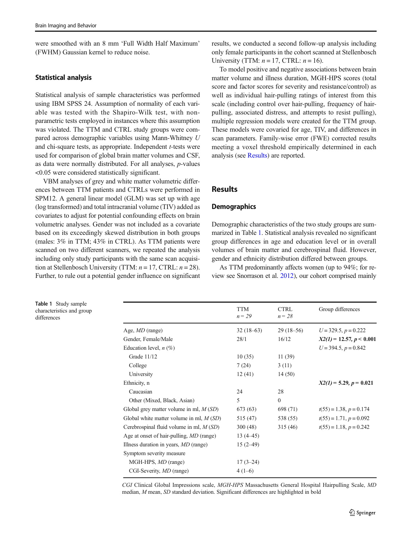were smoothed with an 8 mm 'Full Width Half Maximum' (FWHM) Gaussian kernel to reduce noise.

#### Statistical analysis

Statistical analysis of sample characteristics was performed using IBM SPSS 24. Assumption of normality of each variable was tested with the Shapiro-Wilk test, with nonparametric tests employed in instances where this assumption was violated. The TTM and CTRL study groups were compared across demographic variables using Mann-Whitney U and chi-square tests, as appropriate. Independent *t*-tests were used for comparison of global brain matter volumes and CSF, as data were normally distributed. For all analyses, p-values <0.05 were considered statistically significant.

VBM analyses of grey and white matter volumetric differences between TTM patients and CTRLs were performed in SPM12. A general linear model (GLM) was set up with age (log transformed) and total intracranial volume (TIV) added as covariates to adjust for potential confounding effects on brain volumetric analyses. Gender was not included as a covariate based on its exceedingly skewed distribution in both groups (males: 3% in TTM; 43% in CTRL). As TTM patients were scanned on two different scanners, we repeated the analysis including only study participants with the same scan acquisition at Stellenbosch University (TTM:  $n = 17$ , CTRL:  $n = 28$ ). Further, to rule out a potential gender influence on significant results, we conducted a second follow-up analysis including only female participants in the cohort scanned at Stellenbosch University (TTM:  $n = 17$ , CTRL:  $n = 16$ ).

To model positive and negative associations between brain matter volume and illness duration, MGH-HPS scores (total score and factor scores for severity and resistance/control) as well as individual hair-pulling ratings of interest from this scale (including control over hair-pulling, frequency of hairpulling, associated distress, and attempts to resist pulling), multiple regression models were created for the TTM group. These models were covaried for age, TIV, and differences in scan parameters. Family-wise error (FWE) corrected results meeting a voxel threshold empirically determined in each analysis (see Results) are reported.

# **Results**

#### **Demographics**

Demographic characteristics of the two study groups are summarized in Table 1. Statistical analysis revealed no significant group differences in age and education level or in overall volumes of brain matter and cerebrospinal fluid. However, gender and ethnicity distribution differed between groups.

As TTM predominantly affects women (up to 94%; for review see Snorrason et al. [2012\)](#page-8-0), our cohort comprised mainly

Table 1 Study sample characteristics and group differences

|                                                 | <b>TTM</b><br>$n = 29$ | <b>CTRL</b><br>$n = 28$ | Group differences          |
|-------------------------------------------------|------------------------|-------------------------|----------------------------|
| Age, <i>MD</i> (range)                          | $32(18-63)$            | $29(18-56)$             | $U = 329.5, p = 0.222$     |
| Gender, Female/Male                             | 28/1                   | 16/12                   | $X2(1) = 12.57, p < 0.001$ |
| Education level, $n$ (%)                        |                        |                         | $U = 394.5, p = 0.842$     |
| Grade 11/12                                     | 10(35)                 | 11(39)                  |                            |
| College                                         | 7(24)                  | 3(11)                   |                            |
| University                                      | 12(41)                 | 14(50)                  |                            |
| Ethnicity, n                                    |                        |                         | $X2(1) = 5.29, p = 0.021$  |
| Caucasian                                       | 24                     | 28                      |                            |
| Other (Mixed, Black, Asian)                     | 5                      | $\mathbf{0}$            |                            |
| Global grey matter volume in ml, $M(SD)$        | 673 (63)               | 698 (71)                | $t(55) = 1.38, p = 0.174$  |
| Global white matter volume in ml, $M(SD)$       | 515 (47)               | 538 (55)                | $t(55) = 1.71, p = 0.092$  |
| Cerebrospinal fluid volume in ml, $M(SD)$       | 300(48)                | 315(46)                 | $t(55) = 1.18, p = 0.242$  |
| Age at onset of hair-pulling, <i>MD</i> (range) | $13(4 - 45)$           |                         |                            |
| Illness duration in years, <i>MD</i> (range)    | $15(2-49)$             |                         |                            |
| Symptom severity measure                        |                        |                         |                            |
| MGH-HPS, <i>MD</i> (range)                      | $17(3-24)$             |                         |                            |
| CGI-Severity, <i>MD</i> (range)                 | $4(1-6)$               |                         |                            |
|                                                 |                        |                         |                            |

CGI Clinical Global Impressions scale, MGH-HPS Massachusetts General Hospital Hairpulling Scale, MD median, M mean, SD standard deviation. Significant differences are highlighted in bold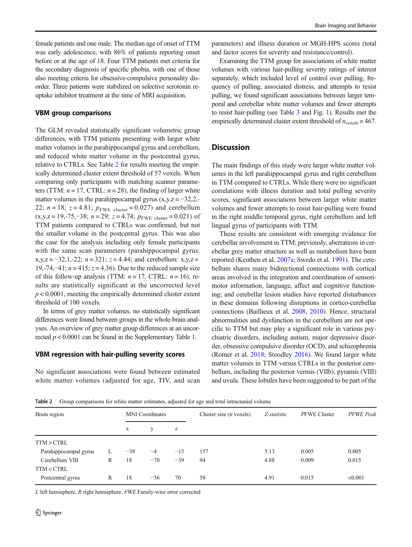female patients and one male. The median age of onset of TTM was early adolescence, with 86% of patients reporting onset before or at the age of 18. Four TTM patients met criteria for the secondary diagnosis of specific phobia, with one of those also meeting criteria for obsessive-compulsive personality disorder. Three patients were stabilized on selective serotonin reuptake inhibitor treatment at the time of MRI acquisition.

#### VBM group comparisons

The GLM revealed statistically significant volumetric group differences, with TTM patients presenting with larger white matter volumes in the parahippocampal gyrus and cerebellum, and reduced white matter volume in the postcentral gyrus, relative to CTRLs. See Table 2 for results meeting the empirically determined cluster extent threshold of 57 voxels. When comparing only participants with matching scanner parameters (TTM:  $n = 17$ , CTRL:  $n = 28$ ), the finding of larger white matter volumes in the parahippocampal gyrus  $(x,y,z = -32,2,-$ 22;  $n = 18$ ;  $z = 4.81$ ;  $p_{\text{FWE cluster}} = 0.027$ ) and cerebellum  $(x,y,z = 19,-75,-38; n = 29; z = 4.74; p_{\text{FWE cluster}} = 0.021)$  of TTM patients compared to CTRLs was confirmed, but not the smaller volume in the postcentral gyrus. This was also the case for the analysis including only female participants with the same scan parameters (parahippocampal gyrus:  $x,y,z = -32,1,-22; n = 321; z = 4.44;$  and cerebellum:  $x,y,z =$ 19,-74,-41;  $n = 415$ ;  $z = 4.36$ ). Due to the reduced sample size of this follow-up analysis (TTM:  $n = 17$ , CTRL:  $n = 16$ ), results are statistically significant at the uncorrected level  $p < 0.0001$ , meeting the empirically determined cluster extent threshold of 100 voxels.

In terms of grey matter volumes, no statistically significant differences were found between groups in the whole-brain analyses. An overview of grey matter group differences at an uncorrected  $p < 0.0001$  can be found in the Supplementary Table 1.

#### VBM regression with hair-pulling severity scores

No significant associations were found between estimated white matter volumes (adjusted for age, TIV, and scan

parameters) and illness duration or MGH-HPS scores (total and factor scores for severity and resistance/control).

Examining the TTM group for associations of white matter volumes with various hair-pulling severity ratings of interest separately, which included level of control over pulling, frequency of pulling, associated distress, and attempts to resist pulling, we found significant associations between larger temporal and cerebellar white matter volumes and fewer attempts to resist hair-pulling (see Table [3](#page-5-0) and Fig. [1](#page-5-0)). Results met the empirically determined cluster extent threshold of  $n_{\text{voxels}} = 467$ .

#### **Discussion**

The main findings of this study were larger white matter volumes in the left parahippocampal gyrus and right cerebellum in TTM compared to CTRLs. While there were no significant correlations with illness duration and total pulling severity scores, significant associations between larger white matter volumes and fewer attempts to resist hair-pulling were found in the right middle temporal gyrus, right cerebellum and left lingual gyrus of participants with TTM.

These results are consistent with emerging evidence for cerebellar involvement in TTM; previously, aberrations in cerebellar grey matter structure as well as metabolism have been reported (Keuthen et al. [2007a](#page-7-0); Swedo et al. [1991](#page-8-0)). The cerebellum shares many bidirectional connections with cortical areas involved in the integration and coordination of sensorimotor information, language, affect and cognitive functioning; and cerebellar lesion studies have reported disturbances in these domains following disruptions in cortico-cerebellar connections (Baillieux et al. [2008,](#page-7-0) [2010\)](#page-7-0). Hence, structural abnormalities and dysfunction in the cerebellum are not specific to TTM but may play a significant role in various psychiatric disorders, including autism, major depressive disorder, obsessive compulsive disorder (OCD), and schizophrenia (Romer et al. [2018;](#page-8-0) Stoodley [2016\)](#page-8-0). We found larger white matter volumes in TTM versus CTRLs in the posterior cerebellum, including the posterior vermis (VIIb), pyramis (VIII) and uvula. These lobules have been suggested to be part of the

Table 2 Group comparisons for white matter estimates, adjusted for age and total intracranial volume

| Brain region                                                                                      |   | <b>MNI</b> Coordinates |       |       | Cluster size (n voxels) | Z-statistic | <b>PFWE</b> Cluster | <b>PFWE</b> Peak |
|---------------------------------------------------------------------------------------------------|---|------------------------|-------|-------|-------------------------|-------------|---------------------|------------------|
|                                                                                                   |   | X                      | У     | z     |                         |             |                     |                  |
| TTM>CTRL                                                                                          |   |                        |       |       |                         |             |                     |                  |
| Parahippocampal gyrus                                                                             | L | $-38$                  | $-4$  | $-15$ | 157                     | 5.13        | 0.005               | 0.005            |
| Cerebellum VIII                                                                                   | R | 18                     | $-70$ | $-39$ | 94                      | 4.88        | 0.009               | 0.015            |
| TTM <ctrl< td=""><td></td><td></td><td></td><td></td><td></td><td></td><td></td><td></td></ctrl<> |   |                        |       |       |                         |             |                     |                  |
| Postcentral gyrus                                                                                 | R | 18                     | $-36$ | 70    | 58                      | 4.91        | 0.015               | < 0.001          |

L left hemisphere, R right hemisphere, FWE Family-wise error corrected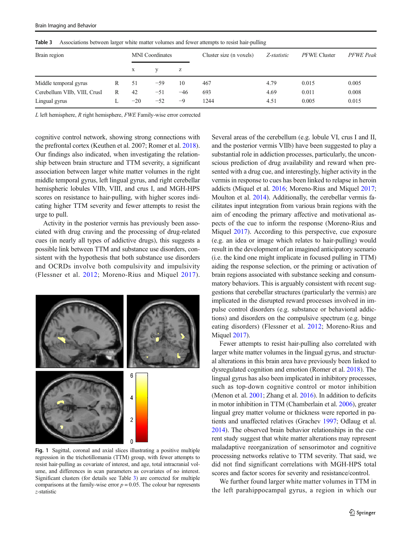| Brain region                 |   | <b>MNI</b> Coordinates |       |       | Cluster size (n voxels) | Z-statistic | PFWE Cluster | <b>PFWE</b> Peak |
|------------------------------|---|------------------------|-------|-------|-------------------------|-------------|--------------|------------------|
|                              |   | X                      |       | z     |                         |             |              |                  |
| Middle temporal gyrus        | R | -51                    | $-59$ | 10    | 467                     | 4.79        | 0.015        | 0.005            |
| Cerebellum VIIb, VIII, CrusI | R | 42                     | $-51$ | $-46$ | 693                     | 4.69        | 0.011        | 0.008            |
| Lingual gyrus                |   | $-20$                  | $-52$ | $-9$  | 1244                    | 4.51        | 0.005        | 0.015            |

<span id="page-5-0"></span>Table 3 Associations between larger white matter volumes and fewer attempts to resist hair-pulling

L left hemisphere, R right hemisphere, FWE Family-wise error corrected

cognitive control network, showing strong connections with the prefrontal cortex (Keuthen et al. 2007; Romer et al. [2018\)](#page-8-0). Our findings also indicated, when investigating the relationship between brain structure and TTM severity, a significant association between larger white matter volumes in the right middle temporal gyrus, left lingual gyrus, and right cerebellar hemispheric lobules VIIb, VIII, and crus I, and MGH-HPS scores on resistance to hair-pulling, with higher scores indicating higher TTM severity and fewer attempts to resist the urge to pull.

Activity in the posterior vermis has previously been associated with drug craving and the processing of drug-related cues (in nearly all types of addictive drugs), this suggests a possible link between TTM and substance use disorders, consistent with the hypothesis that both substance use disorders and OCRDs involve both compulsivity and impulsivity (Flessner et al. [2012](#page-7-0); Moreno-Rius and Miquel [2017](#page-8-0)).



Fig. 1 Sagittal, coronal and axial slices illustrating a positive multiple regression in the trichotillomania (TTM) group, with fewer attempts to resist hair-pulling as covariate of interest, and age, total intracranial volume, and differences in scan parameters as covariates of no interest. Significant clusters (for details see Table 3) are corrected for multiple comparisons at the family-wise error  $p = 0.05$ . The colour bar represents z-statistic

Several areas of the cerebellum (e.g. lobule VI, crus I and II, and the posterior vermis VIIb) have been suggested to play a substantial role in addiction processes, particularly, the unconscious prediction of drug availability and reward when presented with a drug cue, and interestingly, higher activity in the vermis in response to cues has been linked to relapse in heroin addicts (Miquel et al. [2016;](#page-8-0) Moreno-Rius and Miquel [2017;](#page-8-0) Moulton et al. [2014](#page-8-0)). Additionally, the cerebellar vermis facilitates input integration from various brain regions with the aim of encoding the primary affective and motivational aspects of the cue to inform the response (Moreno-Rius and Miquel [2017\)](#page-8-0). According to this perspective, cue exposure (e.g. an idea or image which relates to hair-pulling) would result in the development of an imagined anticipatory scenario (i.e. the kind one might implicate in focused pulling in TTM) aiding the response selection, or the priming or activation of brain regions associated with substance seeking and consummatory behaviors. This is arguably consistent with recent suggestions that cerebellar structures (particularly the vermis) are implicated in the disrupted reward processes involved in impulse control disorders (e.g. substance or behavioral addictions) and disorders on the compulsive spectrum (e.g. binge eating disorders) (Flessner et al. [2012](#page-7-0); Moreno-Rius and Miquel [2017](#page-8-0)).

Fewer attempts to resist hair-pulling also correlated with larger white matter volumes in the lingual gyrus, and structural alterations in this brain area have previously been linked to dysregulated cognition and emotion (Romer et al. [2018\)](#page-8-0). The lingual gyrus has also been implicated in inhibitory processes, such as top-down cognitive control or motor inhibition (Menon et al. [2001](#page-8-0); Zhang et al. [2016](#page-8-0)). In addition to deficits in motor inhibition in TTM (Chamberlain et al. [2006\)](#page-7-0), greater lingual grey matter volume or thickness were reported in patients and unaffected relatives (Grachev [1997](#page-7-0); Odlaug et al. [2014\)](#page-8-0). The observed brain behavior relationships in the current study suggest that white matter alterations may represent maladaptive reorganization of sensorimotor and cognitive processing networks relative to TTM severity. That said, we did not find significant correlations with MGH-HPS total scores and factor scores for severity and resistance/control.

We further found larger white matter volumes in TTM in the left parahippocampal gyrus, a region in which our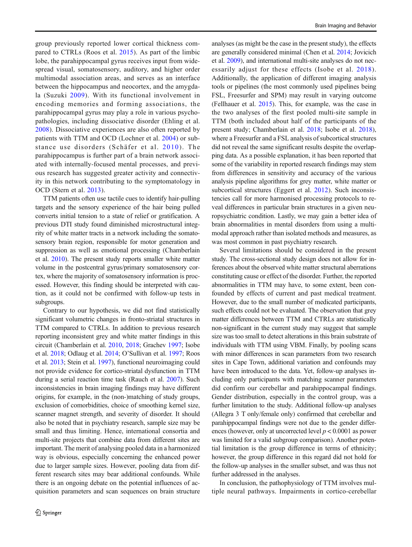group previously reported lower cortical thickness compared to CTRLs (Roos et al. [2015\)](#page-8-0). As part of the limbic lobe, the parahippocampal gyrus receives input from widespread visual, somatosensory, auditory, and higher order multimodal association areas, and serves as an interface between the hippocampus and neocortex, and the amygdala (Suzuki [2009\)](#page-8-0). With its functional involvement in encoding memories and forming associations, the parahippocampal gyrus may play a role in various psychopathologies, including dissociative disorder (Ehling et al. [2008](#page-7-0)). Dissociative experiences are also often reported by patients with TTM and OCD (Lochner et al. [2004](#page-8-0)) or substance use disorders (Schäfer et al. [2010](#page-8-0)). The parahippocampus is further part of a brain network associated with internally-focused mental processes, and previous research has suggested greater activity and connectivity in this network contributing to the symptomatology in OCD (Stern et al. [2013](#page-8-0)).

TTM patients often use tactile cues to identify hair-pulling targets and the sensory experience of the hair being pulled converts initial tension to a state of relief or gratification. A previous DTI study found diminished microstructural integrity of white matter tracts in a network including the somatosensory brain region, responsible for motor generation and suppression as well as emotional processing (Chamberlain et al. [2010\)](#page-7-0). The present study reports smaller white matter volume in the postcentral gyrus/primary somatosensory cortex, where the majority of somatosensory information is processed. However, this finding should be interpreted with caution, as it could not be confirmed with follow-up tests in subgroups.

Contrary to our hypothesis, we did not find statistically significant volumetric changes in fronto-striatal structures in TTM compared to CTRLs. In addition to previous research reporting inconsistent grey and white matter findings in this circuit (Chamberlain et al. [2010](#page-7-0), [2018](#page-7-0); Grachev [1997](#page-7-0); Isobe et al. [2018;](#page-7-0) Odlaug et al. [2014](#page-8-0); O'Sullivan et al. [1997](#page-8-0); Roos et al. [2013](#page-8-0); Stein et al. [1997\)](#page-8-0), functional neuroimaging could not provide evidence for cortico-striatal dysfunction in TTM during a serial reaction time task (Rauch et al. [2007\)](#page-8-0). Such inconsistencies in brain imaging findings may have different origins, for example, in the (non-)matching of study groups, exclusion of comorbidities, choice of smoothing kernel size, scanner magnet strength, and severity of disorder. It should also be noted that in psychiatry research, sample size may be small and thus limiting. Hence, international consortia and multi-site projects that combine data from different sites are important. The merit of analysing pooled data in a harmonized way is obvious, especially concerning the enhanced power due to larger sample sizes. However, pooling data from different research sites may bear additional confounds. While there is an ongoing debate on the potential influences of acquisition parameters and scan sequences on brain structure analyses (as might be the case in the present study), the effects are generally considered minimal (Chen et al. [2014;](#page-7-0) Jovicich et al. [2009\)](#page-7-0), and international multi-site analyses do not necessarily adjust for these effects (Isobe et al. [2018\)](#page-7-0). Additionally, the application of different imaging analysis tools or pipelines (the most commonly used pipelines being FSL, Freesurfer and SPM) may result in varying outcome (Fellhauer et al. [2015\)](#page-7-0). This, for example, was the case in the two analyses of the first pooled multi-site sample in TTM (both included about half of the participants of the present study; Chamberlain et al. [2018;](#page-7-0) Isobe et al. [2018\)](#page-7-0), where a Freesurfer and a FSL analysis of subcortical structures did not reveal the same significant results despite the overlapping data. As a possible explanation, it has been reported that some of the variability in reported research findings may stem from differences in sensitivity and accuracy of the various analysis pipeline algorithms for grey matter, white matter or subcortical structures (Eggert et al. [2012\)](#page-7-0). Such inconsistencies call for more harmonised processing protocols to reveal differences in particular brain structures in a given neuropsychiatric condition. Lastly, we may gain a better idea of brain abnormalities in mental disorders from using a multimodal approach rather than isolated methods and measures, as was most common in past psychiatry research.

Several limitations should be considered in the present study. The cross-sectional study design does not allow for inferences about the observed white matter structural aberrations constituting cause or effect of the disorder. Further, the reported abnormalities in TTM may have, to some extent, been confounded by effects of current and past medical treatment. However, due to the small number of medicated participants, such effects could not be evaluated. The observation that grey matter differences between TTM and CTRLs are statistically non-significant in the current study may suggest that sample size was too small to detect alterations in this brain substrate of individuals with TTM using VBM. Finally, by pooling scans with minor differences in scan parameters from two research sites in Cape Town, additional variation and confounds may have been introduced to the data. Yet, follow-up analyses including only participants with matching scanner parameters did confirm our cerebellar and parahippocampal findings. Gender distribution, especially in the control group, was a further limitation to the study. Additional follow-up analyses (Allegra 3 T only/female only) confirmed that cerebellar and parahippocampal findings were not due to the gender differences (however, only at uncorrected level  $p < 0.0001$  as power was limited for a valid subgroup comparison). Another potential limitation is the group difference in terms of ethnicity; however, the group difference in this regard did not hold for the follow-up analyses in the smaller subset, and was thus not further addressed in the analyses.

In conclusion, the pathophysiology of TTM involves multiple neural pathways. Impairments in cortico-cerebellar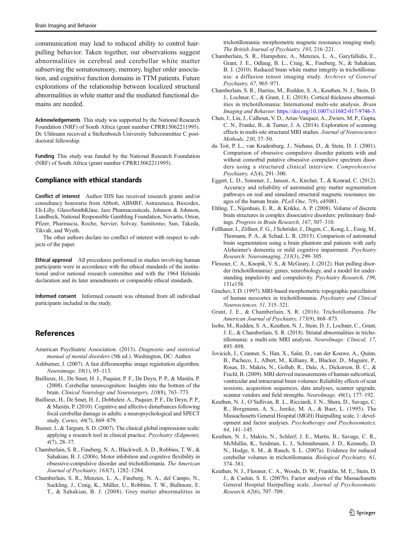<span id="page-7-0"></span>communication may lead to reduced ability to control hairpulling behavior. Taken together, our observations suggest abnormalities in cerebral and cerebellar white matter subserving the somatosensory, memory, higher order association, and cognitive function domains in TTM patients. Future explorations of the relationship between localized structural abnormalities in white matter and the mediated functional domains are needed.

Acknowledgements This study was supported by the National Research Foundation (NRF) of South Africa (grant number CPRR15062211995). Dr. Uhlmann received a Stellenbosch University Subcommittee C postdoctoral fellowship.

Funding This study was funded by the National Research Foundation (NRF) of South Africa (grant number CPRR15062211995).

#### Compliance with ethical standards

Conflict of interest Author DJS has received research grants and/or consultancy honoraria from Abbott, ABMRF, Astrazeneca, Biocodex, Eli-Lilly, GlaxoSmithKline, Jazz Pharmaceuticals, Johnson & Johnson, Lundbeck, National Responsible Gambling Foundation, Novartis, Orion, Pfizer, Pharmacia, Roche, Servier, Solvay, Sumitomo, Sun, Takeda, Tikvah, and Wyeth.

The other authors declare no conflict of interest with respect to subjects of the paper.

Ethical approval All procedures performed in studies involving human participants were in accordance with the ethical standards of the institutional and/or national research committee and with the 1964 Helsinki declaration and its later amendments or comparable ethical standards.

Informed consent Informed consent was obtained from all individual participants included in the study.

# References

- American Psychiatric Association. (2013). Diagnostic and statistical manual of mental disorders (5th ed.). Washington, DC: Author.
- Ashburner, J. (2007). A fast diffeomorphic image registration algorithm. Neuroimage, 38(1), 95–113.
- Baillieux, H., De Smet, H. J., Paquier, P. F., De Deyn, P. P., & Mariën, P. (2008). Cerebellar neurocognition: Insights into the bottom of the brain. Clinical Neurology and Neurosurgery, 110(8), 763–773.
- Baillieux, H., De Smet, H. J., Dobbeleir, A., Paquier, P. F., De Deyn, P. P., & Mariën, P. (2010). Cognitive and affective disturbances following focal cerebellar damage in adults: a neuropsychological and SPECT study. Cortex, 46(7), 869–879.
- Busner, J., & Targum, S. D. (2007). The clinical global impressions scale: applying a research tool in clinical practice. Psychiatry (Edgmont), 4(7), 28–37.
- Chamberlain, S. R., Fineberg, N. A., Blackwell, A. D., Robbins, T. W., & Sahakian, B. J. (2006). Motor inhibition and cognitive flexibility in obsessive-compulsive disorder and trichotillomania. The American Journal of Psychiatry, 163(7), 1282–1284.
- Chamberlain, S. R., Menzies, L. A., Fineberg, N. A., del Campo, N., Suckling, J., Craig, K., Müller, U., Robbins, T. W., Bullmore, E. T., & Sahakian, B. J. (2008). Grey matter abnormalities in

trichotillomania: morphometric magnetic resonance imaging study. The British Journal of Psychiatry, 193, 216–221.

- Chamberlain, S. R., Hampshire, A., Menzies, L. A., Garyfallidis, E., Grant, J. E., Odlaug, B. L., Craig, K., Fineberg, N., & Sahakian, B. J. (2010). Reduced brain white matter integrity in trichotillomania: a diffusion tensor imaging study. Archives of General Psychiatry, 67, 965–971.
- Chamberlain, S. R., Harries, M., Redden, S. A., Keuthen, N. J., Stein, D. J., Lochner, C., & Grant, J. E. (2018). Cortical thickness abnormalities in trichotillomania: International multi-site analysis. Brain Imaging and Behavior. <https://doi.org/10.1007/s11682-017-9746-3>.
- Chen, J., Liu, J., Calhoun, V. D., Arias-Vasquez, A., Zwiers, M. P., Gupta, C. N., Franke, B., & Turner, J. A. (2014). Exploration of scanning effects in multi-site structural MRI studies. Journal of Neuroscience Methods, 230, 37–50.
- du Toit, P. L., van Kradenburg, J., Niehaus, D., & Stein, D. J. (2001). Comparison of obsessive–compulsive disorder patients with and without comorbid putative obsessive–compulsive spectrum disorders using a structured clinical interview. Comprehensive Psychiatry, 42(4), 291–300.
- Eggert, L. D., Sommer, J., Jansen, A., Kircher, T., & Konrad, C. (2012). Accuracy and reliability of automated gray matter segmentation pathways on real and simulated structural magnetic resonance images of the human brain. PLoS One, 7(9), e45081.
- Ehling, T., Nijenhuis, E. R., & Krikke, A. P. (2008). Volume of discrete brain structures in complex dissociative disorders: preliminary findings. Progress in Brain Research, 167, 307–310.
- Fellhauer, I., Zöllner, F. G., J Schröder, J., Degen, C., Kong, L., Essig, M., Thomann, P. A., & Schad, L. R. (2015). Comparison of automated brain segmentation using a brain phantom and patients with early Alzheimer's dementia or mild cognitive impairment. Psychiatry Research: Neuroimaging, 233(3), 299–305.
- Flessner, C. A., Knopik, V. S., & McGeary, J. (2012). Hair pulling disorder (trichotillomania): genes, neurobiology, and a model for understanding impulsivity and compulsivity. Psychiatry Research, 199, 151e158.
- Grachev, I. D. (1997). MRI-based morphometric topographic parcellation of human neocortex in trichotillomania. Psychiatry and Clinical Neurosciences, 51, 315–321.
- Grant, J. E., & Chamberlain, S. R. (2016). Trichotillomania. The American Journal of Psychiatry, 173(9), 868–873.
- Isobe, M., Redden, S. A., Keuthen, N. J., Stein, D. J., Lochner, C., Grant, J. E., & Chamberlain, S. R. (2018). Striatal abnormalities in trichotillomania: a multi-site MRI analysis. NeuroImage: Clinical, 17, 893–898.
- Jovicich, J., Czanner, S., Han, X., Salat, D., van der Kouwe, A., Quinn, B., Pacheco, J., Albert, M., Killiany, R., Blacker, D., Maguire, P., Rosas, D., Makris, N., Gollub, R., Dale, A., Dickerson, B. C., & Fischl, B. (2009). MRI-derived measurements of human subcortical, ventricular and intracranial brain volumes: Reliability effects of scan sessions, acquisition sequences, data analyses, scanner upgrade, scanner vendors and field strengths. NeuroImage, 46(1), 177–192.
- Keuthen, N. J., O'Sullivan, R. L., Ricciardi, J. N., Shera, D., Savage, C. R., Borgmann, A. S., Jenike, M. A., & Baer, L. (1995). The Massachusetts General Hospital (MGH) Hairpulling scale, 1: development and factor analyses. Psychotherapy and Psychosomatics, 64, 141–145.
- Keuthen, N. J., Makris, N., Schlerf, J. E., Martis, B., Savage, C. R., McMullin, K., Seidman, L. J., Schmahmann, J. D., Kennedy, D. N., Hodge, S. M., & Rauch, S. L. (2007a). Evidence for reduced cerebellar volumes in trichotillomania. Biological Psychiatry, 61, 374–381.
- Keuthen, N. J., Flessner, C. A., Woods, D. W., Franklin, M. E., Stein, D. J., & Cashin, S. E. (2007b). Factor analysis of the Massachusetts General Hospital Hairpulling scale. Journal of Psychosomatic Research, 62(6), 707–709.